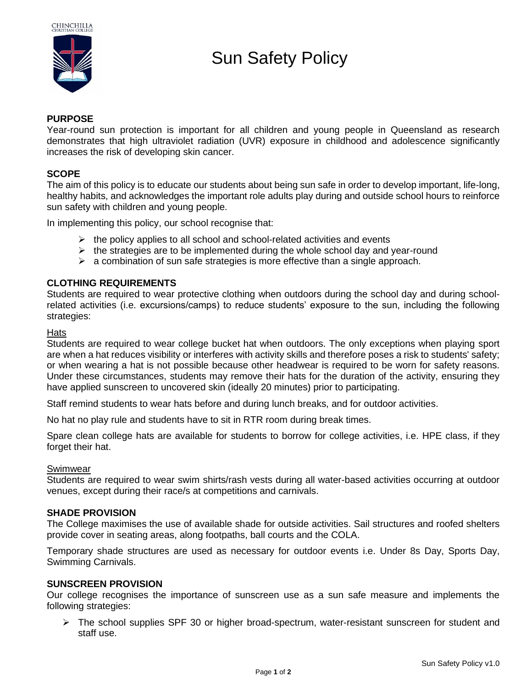

# Sun Safety Policy

# **PURPOSE**

Year-round sun protection is important for all children and young people in Queensland as research demonstrates that high ultraviolet radiation (UVR) exposure in childhood and adolescence significantly increases the risk of developing skin cancer.

## **SCOPE**

The aim of this policy is to educate our students about being sun safe in order to develop important, life-long, healthy habits, and acknowledges the important role adults play during and outside school hours to reinforce sun safety with children and young people.

In implementing this policy, our school recognise that:

- $\triangleright$  the policy applies to all school and school-related activities and events
- $\triangleright$  the strategies are to be implemented during the whole school day and year-round
- $\triangleright$  a combination of sun safe strategies is more effective than a single approach.

## **CLOTHING REQUIREMENTS**

Students are required to wear protective clothing when outdoors during the school day and during schoolrelated activities (i.e. excursions/camps) to reduce students' exposure to the sun, including the following strategies:

## **Hats**

Students are required to wear college bucket hat when outdoors. The only exceptions when playing sport are when a hat reduces visibility or interferes with activity skills and therefore poses a risk to students' safety; or when wearing a hat is not possible because other headwear is required to be worn for safety reasons. Under these circumstances, students may remove their hats for the duration of the activity, ensuring they have applied sunscreen to uncovered skin (ideally 20 minutes) prior to participating.

Staff remind students to wear hats before and during lunch breaks, and for outdoor activities.

No hat no play rule and students have to sit in RTR room during break times.

Spare clean college hats are available for students to borrow for college activities, i.e. HPE class, if they forget their hat.

## Swimwear

Students are required to wear swim shirts/rash vests during all water-based activities occurring at outdoor venues, except during their race/s at competitions and carnivals.

## **SHADE PROVISION**

The College maximises the use of available shade for outside activities. Sail structures and roofed shelters provide cover in seating areas, along footpaths, ball courts and the COLA.

Temporary shade structures are used as necessary for outdoor events i.e. Under 8s Day, Sports Day, Swimming Carnivals.

## **SUNSCREEN PROVISION**

Our college recognises the importance of sunscreen use as a sun safe measure and implements the following strategies:

➢ The school supplies SPF 30 or higher broad-spectrum, water-resistant sunscreen for student and staff use.